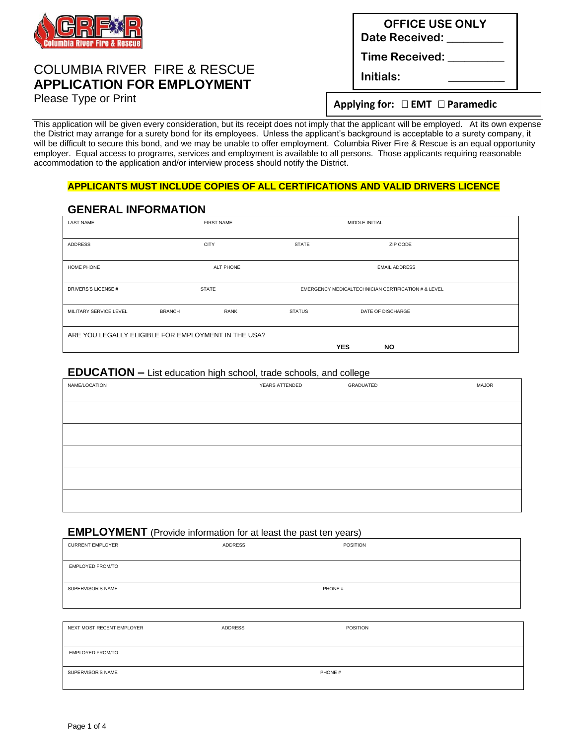

# COLUMBIA RIVER FIRE & RESCUE **APPLICATION FOR EMPLOYMENT**

**OFFICE USE ONLY** Date Received: \_\_\_\_\_\_\_

**Time Received: \_\_\_\_\_\_\_\_\_\_**

**Initials: \_\_\_\_\_\_\_\_\_\_**

Please Type or Print

**Applying for: EMT Paramedic**

This application will be given every consideration, but its receipt does not imply that the applicant will be employed. At its own expense the District may arrange for a surety bond for its employees. Unless the applicant's background is acceptable to a surety company, it will be difficult to secure this bond, and we may be unable to offer employment. Columbia River Fire & Rescue is an equal opportunity employer. Equal access to programs, services and employment is available to all persons. Those applicants requiring reasonable accommodation to the application and/or interview process should notify the District.

### **APPLICANTS MUST INCLUDE COPIES OF ALL CERTIFICATIONS AND VALID DRIVERS LICENCE**

## **GENERAL INFORMATION**

| <b>CITY</b>                                         | <b>STATE</b>  |                      |                                                                                |
|-----------------------------------------------------|---------------|----------------------|--------------------------------------------------------------------------------|
|                                                     |               | ZIP CODE             |                                                                                |
| ALT PHONE                                           |               | <b>EMAIL ADDRESS</b> |                                                                                |
| <b>STATE</b>                                        |               |                      |                                                                                |
| <b>RANK</b>                                         | <b>STATUS</b> | DATE OF DISCHARGE    |                                                                                |
| ARE YOU LEGALLY ELIGIBLE FOR EMPLOYMENT IN THE USA? |               |                      |                                                                                |
|                                                     | <b>BRANCH</b> |                      | EMERGENCY MEDICALTECHNICIAN CERTIFICATION # & LEVEL<br><b>YES</b><br><b>NO</b> |

### **EDUCATION –** List education high school, trade schools, and college

| NAME/LOCATION | ັ<br>$\overline{\phantom{a}}$<br>YEARS ATTENDED | $\overline{\phantom{a}}$<br>ັ<br>GRADUATED | <b>MAJOR</b> |
|---------------|-------------------------------------------------|--------------------------------------------|--------------|
|               |                                                 |                                            |              |
|               |                                                 |                                            |              |
|               |                                                 |                                            |              |
|               |                                                 |                                            |              |
|               |                                                 |                                            |              |
|               |                                                 |                                            |              |
|               |                                                 |                                            |              |
|               |                                                 |                                            |              |

#### **EMPLOYMENT** (Provide information for at least the past ten years)

| $\lambda$                 |         | and the contract of<br>$\sim$ $\sim$ |  |
|---------------------------|---------|--------------------------------------|--|
| <b>CURRENT EMPLOYER</b>   | ADDRESS | POSITION                             |  |
| EMPLOYED FROM/TO          |         |                                      |  |
| SUPERVISOR'S NAME         |         | PHONE #                              |  |
|                           |         |                                      |  |
| NEXT MOST RECENT EMPLOYER | ADDRESS | POSITION                             |  |
| EMPLOYED FROM/TO          |         |                                      |  |
| SUPERVISOR'S NAME         |         | PHONE #                              |  |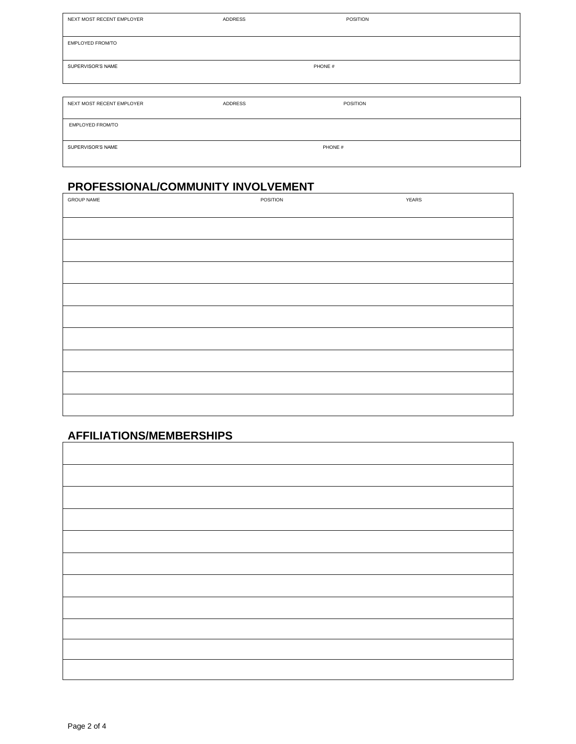| NEXT MOST RECENT EMPLOYER | ADDRESS | POSITION |  |
|---------------------------|---------|----------|--|
| EMPLOYED FROM/TO          |         |          |  |
|                           |         |          |  |
| SUPERVISOR'S NAME         |         | PHONE #  |  |
|                           |         |          |  |
| NEXT MOST RECENT EMPLOYER | ADDRESS | POSITION |  |
| EMPLOYED FROM/TO          |         |          |  |
| SUPERVISOR'S NAME         |         | PHONE #  |  |

## **PROFESSIONAL/COMMUNITY INVOLVEMENT**

| <b>GROUP NAME</b> | POSITION | YEARS |
|-------------------|----------|-------|
|                   |          |       |
|                   |          |       |
|                   |          |       |
|                   |          |       |
|                   |          |       |
|                   |          |       |
|                   |          |       |
|                   |          |       |
|                   |          |       |
|                   |          |       |
|                   |          |       |

# **AFFILIATIONS/MEMBERSHIPS**

 $\overline{\mathsf{I}}$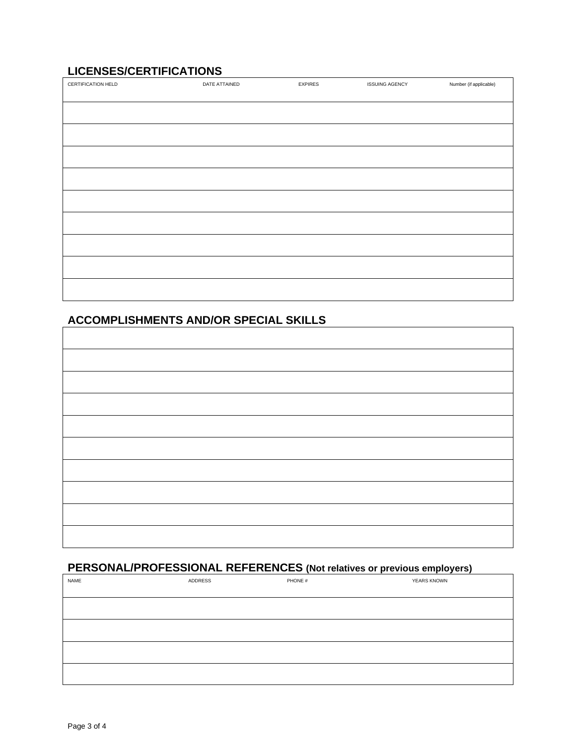## **LICENSES/CERTIFICATIONS**

| CERTIFICATION HELD | DATE ATTAINED | <b>EXPIRES</b> | <b>ISSUING AGENCY</b> | Number (if applicable) |
|--------------------|---------------|----------------|-----------------------|------------------------|
|                    |               |                |                       |                        |
|                    |               |                |                       |                        |
|                    |               |                |                       |                        |
|                    |               |                |                       |                        |
|                    |               |                |                       |                        |
|                    |               |                |                       |                        |
|                    |               |                |                       |                        |
|                    |               |                |                       |                        |
|                    |               |                |                       |                        |
|                    |               |                |                       |                        |
|                    |               |                |                       |                        |
|                    |               |                |                       |                        |
|                    |               |                |                       |                        |
|                    |               |                |                       |                        |
|                    |               |                |                       |                        |
|                    |               |                |                       |                        |

## **ACCOMPLISHMENTS AND/OR SPECIAL SKILLS**

٦

## **PERSONAL/PROFESSIONAL REFERENCES (Not relatives or previous employers)**

| NAME | ADDRESS | PHONE # | YEARS KNOWN |
|------|---------|---------|-------------|
|      |         |         |             |
|      |         |         |             |
|      |         |         |             |
|      |         |         |             |
|      |         |         |             |
|      |         |         |             |
|      |         |         |             |
|      |         |         |             |
|      |         |         |             |

 $\overline{1}$